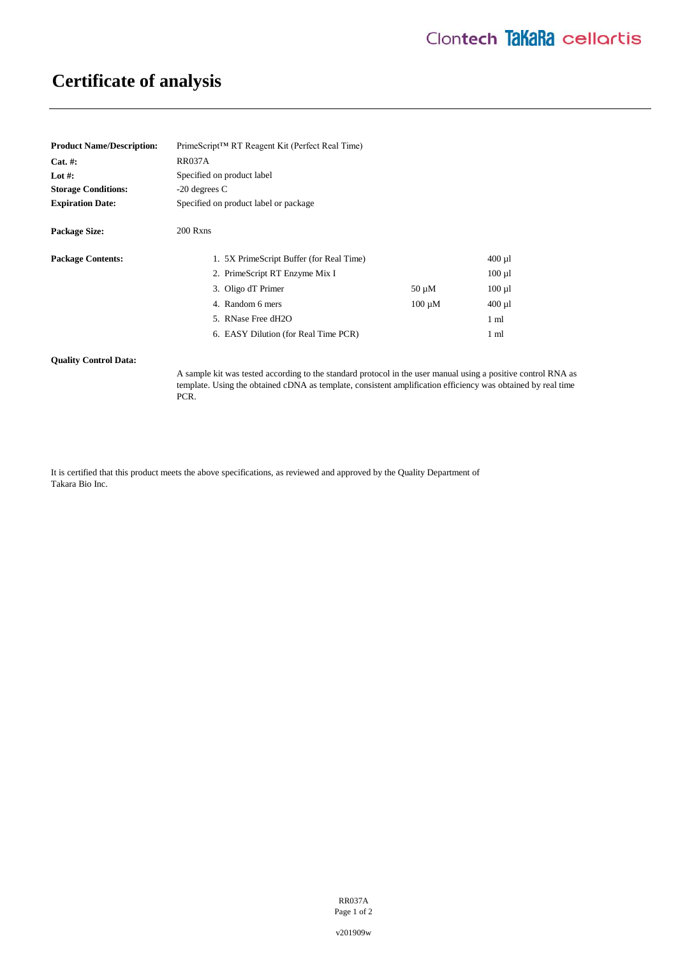# **Certificate of analysis**

| <b>Product Name/Description:</b> | PrimeScript <sup>™</sup> RT Reagent Kit (Perfect Real Time) |             |                |
|----------------------------------|-------------------------------------------------------------|-------------|----------------|
| $Cat. \#:$                       | <b>RR037A</b>                                               |             |                |
| Lot #:                           | Specified on product label                                  |             |                |
| <b>Storage Conditions:</b>       | $-20$ degrees C                                             |             |                |
| <b>Expiration Date:</b>          | Specified on product label or package                       |             |                |
| <b>Package Size:</b>             | 200 Rxns                                                    |             |                |
| <b>Package Contents:</b>         | 1. 5X PrimeScript Buffer (for Real Time)                    |             | $400 \mu$ 1    |
|                                  | 2. PrimeScript RT Enzyme Mix I                              |             | $100 \mu l$    |
|                                  | 3. Oligo dT Primer                                          | $50 \mu M$  | $100 \mu l$    |
|                                  | 4. Random 6 mers                                            | $100 \mu M$ | $400 \mu$      |
|                                  | 5. RNase Free dH2O                                          |             | $1 \text{ ml}$ |
|                                  | 6. EASY Dilution (for Real Time PCR)                        |             | 1 ml           |

### **Quality Control Data:**

A sample kit was tested according to the standard protocol in the user manual using a positive control RNA as template. Using the obtained cDNA as template, consistent amplification efficiency was obtained by real time PCR.

It is certified that this product meets the above specifications, as reviewed and approved by the Quality Department of Takara Bio Inc.

> RR037A Page 1 of 2

v201909w